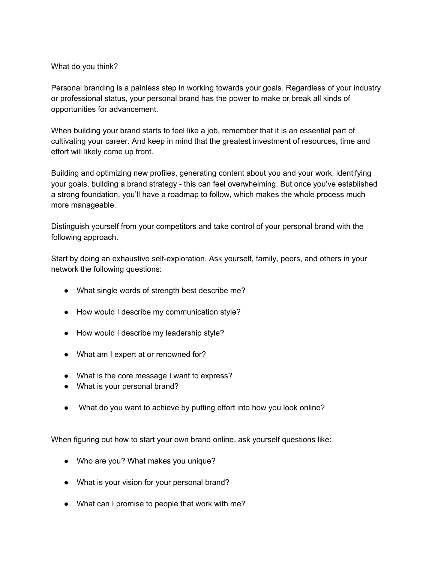## What do you think?

Personal branding is a painless step in working towards your goals. Regardless of your industry or professional status, your personal brand has the power to make or break all kinds of opportunities for advancement.

When building your brand starts to feel like a job, remember that it is an essential part of cultivating your career. And keep in mind that the greatest investment of resources, time and effort will likely come up front.

Building and optimizing new profiles, generating content about you and your work, identifying your goals, building a brand strategy - this can feel overwhelming. But once you've established a strong foundation, you'll have a roadmap to follow, which makes the whole process much more manageable.

Distinguish yourself from your competitors and take control of your personal brand with the following approach.

Start by doing an exhaustive self-exploration. Ask yourself, family, peers, and others in your network the following questions:

- What single words of strength best describe me?
- How would I describe my communication style?
- How would I describe my leadership style?
- What am I expert at or renowned for?
- What is the core message I want to express?
- What is your personal brand?
- What do you want to achieve by putting effort into how you look online?

When figuring out how to start your own brand online, ask yourself questions like:

- Who are you? What makes you unique?
- What is your vision for your personal brand?
- What can I promise to people that work with me?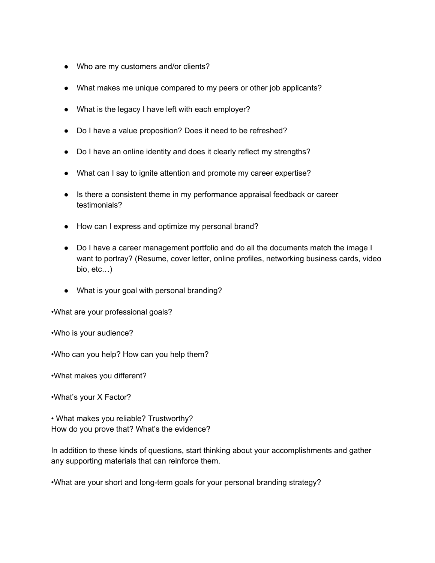- Who are my customers and/or clients?
- What makes me unique compared to my peers or other job applicants?
- What is the legacy I have left with each employer?
- Do I have a value proposition? Does it need to be refreshed?
- Do I have an online identity and does it clearly reflect my strengths?
- What can I say to ignite attention and promote my career expertise?
- Is there a consistent theme in my performance appraisal feedback or career testimonials?
- How can I express and optimize my personal brand?
- Do I have a career management portfolio and do all the documents match the image I want to portray? (Resume, cover letter, online profiles, networking business cards, video bio, etc…)
- What is your goal with personal branding?

•What are your professional goals?

•Who is your audience?

•Who can you help? How can you help them?

•What makes you different?

•What's your X Factor?

• What makes you reliable? Trustworthy? How do you prove that? What's the evidence?

In addition to these kinds of questions, start thinking about your accomplishments and gather any supporting materials that can reinforce them.

•What are your short and long-term goals for your personal branding strategy?